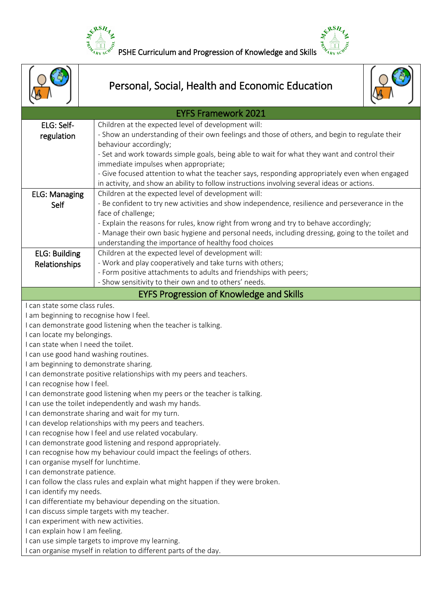



|                                                                                                                                                                                               | Personal, Social, Health and Economic Education                                                                                                                                                                                                                                                                                                                                                                                                                                                                                                                                                                                                                                                                                                                                                                                                                                                                                                                                                                |
|-----------------------------------------------------------------------------------------------------------------------------------------------------------------------------------------------|----------------------------------------------------------------------------------------------------------------------------------------------------------------------------------------------------------------------------------------------------------------------------------------------------------------------------------------------------------------------------------------------------------------------------------------------------------------------------------------------------------------------------------------------------------------------------------------------------------------------------------------------------------------------------------------------------------------------------------------------------------------------------------------------------------------------------------------------------------------------------------------------------------------------------------------------------------------------------------------------------------------|
|                                                                                                                                                                                               | <b>EYFS Framework 2021</b>                                                                                                                                                                                                                                                                                                                                                                                                                                                                                                                                                                                                                                                                                                                                                                                                                                                                                                                                                                                     |
| ELG: Self-<br>regulation                                                                                                                                                                      | Children at the expected level of development will:<br>- Show an understanding of their own feelings and those of others, and begin to regulate their<br>behaviour accordingly;<br>- Set and work towards simple goals, being able to wait for what they want and control their                                                                                                                                                                                                                                                                                                                                                                                                                                                                                                                                                                                                                                                                                                                                |
|                                                                                                                                                                                               | immediate impulses when appropriate;<br>- Give focused attention to what the teacher says, responding appropriately even when engaged<br>in activity, and show an ability to follow instructions involving several ideas or actions.                                                                                                                                                                                                                                                                                                                                                                                                                                                                                                                                                                                                                                                                                                                                                                           |
| <b>ELG: Managing</b><br>Self                                                                                                                                                                  | Children at the expected level of development will:<br>- Be confident to try new activities and show independence, resilience and perseverance in the<br>face of challenge;<br>- Explain the reasons for rules, know right from wrong and try to behave accordingly;<br>- Manage their own basic hygiene and personal needs, including dressing, going to the toilet and<br>understanding the importance of healthy food choices                                                                                                                                                                                                                                                                                                                                                                                                                                                                                                                                                                               |
| <b>ELG: Building</b><br>Relationships                                                                                                                                                         | Children at the expected level of development will:<br>- Work and play cooperatively and take turns with others;<br>- Form positive attachments to adults and friendships with peers;<br>- Show sensitivity to their own and to others' needs.                                                                                                                                                                                                                                                                                                                                                                                                                                                                                                                                                                                                                                                                                                                                                                 |
|                                                                                                                                                                                               | <b>EYFS Progression of Knowledge and Skills</b>                                                                                                                                                                                                                                                                                                                                                                                                                                                                                                                                                                                                                                                                                                                                                                                                                                                                                                                                                                |
| I can state some class rules.<br>I can locate my belongings.<br>I can state when I need the toilet.<br>I can recognise how I feel.<br>I can demonstrate patience.<br>I can identify my needs. | I am beginning to recognise how I feel.<br>I can demonstrate good listening when the teacher is talking.<br>I can use good hand washing routines.<br>I am beginning to demonstrate sharing.<br>I can demonstrate positive relationships with my peers and teachers.<br>I can demonstrate good listening when my peers or the teacher is talking.<br>I can use the toilet independently and wash my hands.<br>I can demonstrate sharing and wait for my turn.<br>I can develop relationships with my peers and teachers.<br>I can recognise how I feel and use related vocabulary.<br>I can demonstrate good listening and respond appropriately.<br>I can recognise how my behaviour could impact the feelings of others.<br>I can organise myself for lunchtime.<br>I can follow the class rules and explain what might happen if they were broken.<br>I can differentiate my behaviour depending on the situation.<br>I can discuss simple targets with my teacher.<br>I can experiment with new activities. |
| I can explain how I am feeling.<br>I can use simple targets to improve my learning.<br>I can organise myself in relation to different parts of the day.                                       |                                                                                                                                                                                                                                                                                                                                                                                                                                                                                                                                                                                                                                                                                                                                                                                                                                                                                                                                                                                                                |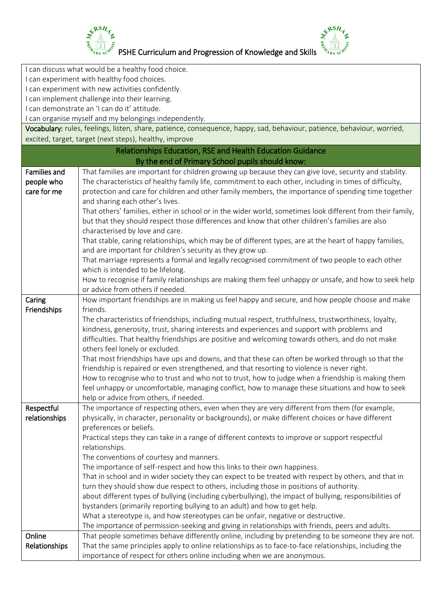



| I can discuss what would be a healthy food choice. |                                                                                                                                                                                                          |  |
|----------------------------------------------------|----------------------------------------------------------------------------------------------------------------------------------------------------------------------------------------------------------|--|
| I can experiment with healthy food choices.        |                                                                                                                                                                                                          |  |
| I can experiment with new activities confidently.  |                                                                                                                                                                                                          |  |
| I can implement challenge into their learning.     |                                                                                                                                                                                                          |  |
|                                                    | I can demonstrate an 'I can do it' attitude.                                                                                                                                                             |  |
|                                                    | I can organise myself and my belongings independently.                                                                                                                                                   |  |
|                                                    | Vocabulary: rules, feelings, listen, share, patience, consequence, happy, sad, behaviour, patience, behaviour, worried,                                                                                  |  |
|                                                    | excited, target, target (next steps), healthy, improve                                                                                                                                                   |  |
|                                                    | <b>Relationships Education, RSE and Health Education Guidance</b>                                                                                                                                        |  |
|                                                    | By the end of Primary School pupils should know:                                                                                                                                                         |  |
| <b>Families and</b>                                | That families are important for children growing up because they can give love, security and stability.                                                                                                  |  |
| people who                                         | The characteristics of healthy family life, commitment to each other, including in times of difficulty,                                                                                                  |  |
| care for me                                        | protection and care for children and other family members, the importance of spending time together                                                                                                      |  |
|                                                    | and sharing each other's lives.                                                                                                                                                                          |  |
|                                                    | That others' families, either in school or in the wider world, sometimes look different from their family,                                                                                               |  |
|                                                    | but that they should respect those differences and know that other children's families are also                                                                                                          |  |
|                                                    | characterised by love and care.                                                                                                                                                                          |  |
|                                                    | That stable, caring relationships, which may be of different types, are at the heart of happy families,                                                                                                  |  |
|                                                    | and are important for children's security as they grow up.                                                                                                                                               |  |
|                                                    | That marriage represents a formal and legally recognised commitment of two people to each other                                                                                                          |  |
|                                                    | which is intended to be lifelong.                                                                                                                                                                        |  |
|                                                    | How to recognise if family relationships are making them feel unhappy or unsafe, and how to seek help                                                                                                    |  |
|                                                    | or advice from others if needed.                                                                                                                                                                         |  |
| Caring                                             | How important friendships are in making us feel happy and secure, and how people choose and make                                                                                                         |  |
| Friendships                                        | friends.                                                                                                                                                                                                 |  |
|                                                    | The characteristics of friendships, including mutual respect, truthfulness, trustworthiness, loyalty,                                                                                                    |  |
|                                                    | kindness, generosity, trust, sharing interests and experiences and support with problems and                                                                                                             |  |
|                                                    | difficulties. That healthy friendships are positive and welcoming towards others, and do not make                                                                                                        |  |
|                                                    | others feel lonely or excluded.                                                                                                                                                                          |  |
|                                                    | That most friendships have ups and downs, and that these can often be worked through so that the                                                                                                         |  |
|                                                    | friendship is repaired or even strengthened, and that resorting to violence is never right.                                                                                                              |  |
|                                                    | How to recognise who to trust and who not to trust, how to judge when a friendship is making them                                                                                                        |  |
|                                                    | feel unhappy or uncomfortable, managing conflict, how to manage these situations and how to seek                                                                                                         |  |
|                                                    | help or advice from others, if needed.                                                                                                                                                                   |  |
| Respectful                                         | The importance of respecting others, even when they are very different from them (for example,                                                                                                           |  |
| relationships                                      | physically, in character, personality or backgrounds), or make different choices or have different                                                                                                       |  |
|                                                    | preferences or beliefs.                                                                                                                                                                                  |  |
|                                                    | Practical steps they can take in a range of different contexts to improve or support respectful                                                                                                          |  |
|                                                    | relationships.                                                                                                                                                                                           |  |
|                                                    | The conventions of courtesy and manners.                                                                                                                                                                 |  |
|                                                    | The importance of self-respect and how this links to their own happiness.                                                                                                                                |  |
|                                                    | That in school and in wider society they can expect to be treated with respect by others, and that in                                                                                                    |  |
|                                                    | turn they should show due respect to others, including those in positions of authority.                                                                                                                  |  |
|                                                    | about different types of bullying (including cyberbullying), the impact of bullying, responsibilities of                                                                                                 |  |
|                                                    | bystanders (primarily reporting bullying to an adult) and how to get help.                                                                                                                               |  |
|                                                    | What a stereotype is, and how stereotypes can be unfair, negative or destructive.                                                                                                                        |  |
| Online                                             | The importance of permission-seeking and giving in relationships with friends, peers and adults.<br>That people sometimes behave differently online, including by pretending to be someone they are not. |  |
| Relationships                                      | That the same principles apply to online relationships as to face-to-face relationships, including the                                                                                                   |  |
|                                                    | importance of respect for others online including when we are anonymous.                                                                                                                                 |  |
|                                                    |                                                                                                                                                                                                          |  |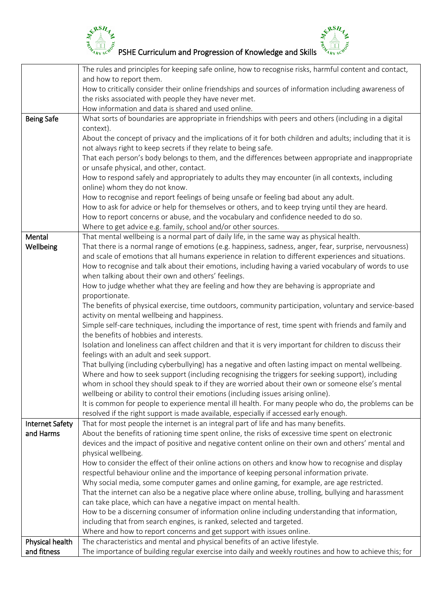



|                        | The rules and principles for keeping safe online, how to recognise risks, harmful content and contact,                                                                |
|------------------------|-----------------------------------------------------------------------------------------------------------------------------------------------------------------------|
|                        | and how to report them.                                                                                                                                               |
|                        | How to critically consider their online friendships and sources of information including awareness of                                                                 |
|                        | the risks associated with people they have never met.                                                                                                                 |
|                        | How information and data is shared and used online.                                                                                                                   |
| <b>Being Safe</b>      | What sorts of boundaries are appropriate in friendships with peers and others (including in a digital                                                                 |
|                        | context).                                                                                                                                                             |
|                        | About the concept of privacy and the implications of it for both children and adults; including that it is                                                            |
|                        | not always right to keep secrets if they relate to being safe.                                                                                                        |
|                        | That each person's body belongs to them, and the differences between appropriate and inappropriate                                                                    |
|                        | or unsafe physical, and other, contact.                                                                                                                               |
|                        | How to respond safely and appropriately to adults they may encounter (in all contexts, including                                                                      |
|                        | online) whom they do not know.                                                                                                                                        |
|                        | How to recognise and report feelings of being unsafe or feeling bad about any adult.                                                                                  |
|                        | How to ask for advice or help for themselves or others, and to keep trying until they are heard.                                                                      |
|                        | How to report concerns or abuse, and the vocabulary and confidence needed to do so.                                                                                   |
|                        | Where to get advice e.g. family, school and/or other sources.                                                                                                         |
| Mental                 | That mental wellbeing is a normal part of daily life, in the same way as physical health.                                                                             |
| Wellbeing              | That there is a normal range of emotions (e.g. happiness, sadness, anger, fear, surprise, nervousness)                                                                |
|                        | and scale of emotions that all humans experience in relation to different experiences and situations.                                                                 |
|                        | How to recognise and talk about their emotions, including having a varied vocabulary of words to use                                                                  |
|                        | when talking about their own and others' feelings.                                                                                                                    |
|                        | How to judge whether what they are feeling and how they are behaving is appropriate and                                                                               |
|                        | proportionate.                                                                                                                                                        |
|                        | The benefits of physical exercise, time outdoors, community participation, voluntary and service-based                                                                |
|                        | activity on mental wellbeing and happiness.                                                                                                                           |
|                        | Simple self-care techniques, including the importance of rest, time spent with friends and family and                                                                 |
|                        | the benefits of hobbies and interests.                                                                                                                                |
|                        | Isolation and loneliness can affect children and that it is very important for children to discuss their                                                              |
|                        | feelings with an adult and seek support.                                                                                                                              |
|                        | That bullying (including cyberbullying) has a negative and often lasting impact on mental wellbeing.                                                                  |
|                        | Where and how to seek support (including recognising the triggers for seeking support), including                                                                     |
|                        | whom in school they should speak to if they are worried about their own or someone else's mental                                                                      |
|                        | wellbeing or ability to control their emotions (including issues arising online).                                                                                     |
|                        | It is common for people to experience mental ill health. For many people who do, the problems can be                                                                  |
|                        | resolved if the right support is made available, especially if accessed early enough.                                                                                 |
| <b>Internet Safety</b> | That for most people the internet is an integral part of life and has many benefits.                                                                                  |
| and Harms              | About the benefits of rationing time spent online, the risks of excessive time spent on electronic                                                                    |
|                        | devices and the impact of positive and negative content online on their own and others' mental and                                                                    |
|                        | physical wellbeing.<br>How to consider the effect of their online actions on others and know how to recognise and display                                             |
|                        |                                                                                                                                                                       |
|                        | respectful behaviour online and the importance of keeping personal information private.                                                                               |
|                        | Why social media, some computer games and online gaming, for example, are age restricted.                                                                             |
|                        | That the internet can also be a negative place where online abuse, trolling, bullying and harassment                                                                  |
|                        | can take place, which can have a negative impact on mental health.<br>How to be a discerning consumer of information online including understanding that information, |
|                        |                                                                                                                                                                       |
|                        | including that from search engines, is ranked, selected and targeted.<br>Where and how to report concerns and get support with issues online.                         |
| Physical health        | The characteristics and mental and physical benefits of an active lifestyle.                                                                                          |
| and fitness            | The importance of building regular exercise into daily and weekly routines and how to achieve this; for                                                               |
|                        |                                                                                                                                                                       |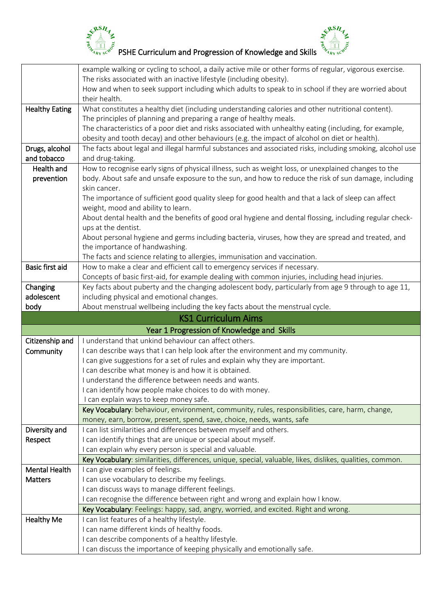



|                        | example walking or cycling to school, a daily active mile or other forms of regular, vigorous exercise.   |
|------------------------|-----------------------------------------------------------------------------------------------------------|
|                        | The risks associated with an inactive lifestyle (including obesity).                                      |
|                        | How and when to seek support including which adults to speak to in school if they are worried about       |
|                        | their health.                                                                                             |
| <b>Healthy Eating</b>  | What constitutes a healthy diet (including understanding calories and other nutritional content).         |
|                        | The principles of planning and preparing a range of healthy meals.                                        |
|                        | The characteristics of a poor diet and risks associated with unhealthy eating (including, for example,    |
|                        | obesity and tooth decay) and other behaviours (e.g. the impact of alcohol on diet or health).             |
| Drugs, alcohol         | The facts about legal and illegal harmful substances and associated risks, including smoking, alcohol use |
| and tobacco            | and drug-taking.                                                                                          |
| Health and             | How to recognise early signs of physical illness, such as weight loss, or unexplained changes to the      |
| prevention             | body. About safe and unsafe exposure to the sun, and how to reduce the risk of sun damage, including      |
|                        | skin cancer.                                                                                              |
|                        | The importance of sufficient good quality sleep for good health and that a lack of sleep can affect       |
|                        | weight, mood and ability to learn.                                                                        |
|                        | About dental health and the benefits of good oral hygiene and dental flossing, including regular check-   |
|                        | ups at the dentist.                                                                                       |
|                        | About personal hygiene and germs including bacteria, viruses, how they are spread and treated, and        |
|                        | the importance of handwashing.                                                                            |
|                        | The facts and science relating to allergies, immunisation and vaccination.                                |
| <b>Basic first aid</b> | How to make a clear and efficient call to emergency services if necessary.                                |
|                        | Concepts of basic first-aid, for example dealing with common injuries, including head injuries.           |
| Changing               | Key facts about puberty and the changing adolescent body, particularly from age 9 through to age 11,      |
| adolescent             | including physical and emotional changes.                                                                 |
|                        |                                                                                                           |
| body                   | About menstrual wellbeing including the key facts about the menstrual cycle.                              |
|                        | <b>KS1 Curriculum Aims</b>                                                                                |
|                        | Year 1 Progression of Knowledge and Skills                                                                |
| Citizenship and        | I understand that unkind behaviour can affect others.                                                     |
| Community              | I can describe ways that I can help look after the environment and my community.                          |
|                        | I can give suggestions for a set of rules and explain why they are important.                             |
|                        | I can describe what money is and how it is obtained.                                                      |
|                        | I understand the difference between needs and wants.                                                      |
|                        | I can identify how people make choices to do with money.                                                  |
|                        | I can explain ways to keep money safe.                                                                    |
|                        | Key Vocabulary: behaviour, environment, community, rules, responsibilities, care, harm, change,           |
|                        | money, earn, borrow, present, spend, save, choice, needs, wants, safe                                     |
| Diversity and          | I can list similarities and differences between myself and others.                                        |
| Respect                | I can identify things that are unique or special about myself.                                            |
|                        | I can explain why every person is special and valuable.                                                   |
|                        | Key Vocabulary: similarities, differences, unique, special, valuable, likes, dislikes, qualities, common. |
| <b>Mental Health</b>   | I can give examples of feelings.                                                                          |
| <b>Matters</b>         | I can use vocabulary to describe my feelings.                                                             |
|                        | I can discuss ways to manage different feelings.                                                          |
|                        | I can recognise the difference between right and wrong and explain how I know.                            |
|                        | Key Vocabulary: Feelings: happy, sad, angry, worried, and excited. Right and wrong.                       |
| <b>Healthy Me</b>      | I can list features of a healthy lifestyle.                                                               |
|                        | I can name different kinds of healthy foods.                                                              |
|                        | I can describe components of a healthy lifestyle.                                                         |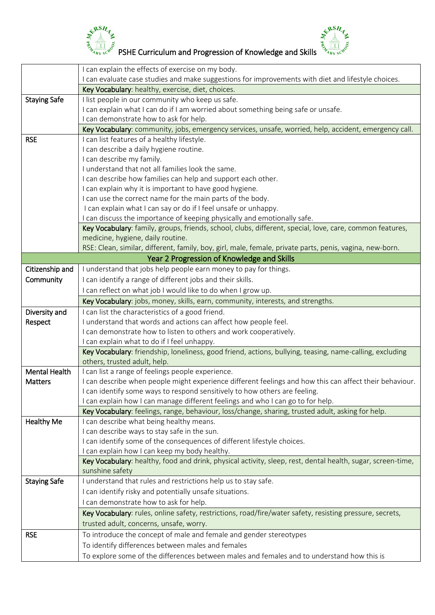



 $\begin{bmatrix} \xi^{\beta\beta}H_{\gamma} & \xi^{\beta\beta}H_{\gamma} \ \xi^{\beta\beta}H_{\gamma} & \xi^{\beta\beta}H_{\gamma} \ \xi^{\gamma} & \xi^{\gamma} \end{bmatrix}$ PSHE Curriculum and Progression of Knowledge and Skills  $\begin{bmatrix} \xi^{\beta} & \xi^{\gamma} & \xi^{\gamma} & \xi^{\gamma} & \xi^{\gamma} & \xi^{\gamma} & \xi^{\gamma} & \xi^{\gamma} & \xi^{\gamma} & \xi^{\gamma} & \xi^{\gamma$ 

|                      | I can explain the effects of exercise on my body.                                                                                                            |
|----------------------|--------------------------------------------------------------------------------------------------------------------------------------------------------------|
|                      | I can evaluate case studies and make suggestions for improvements with diet and lifestyle choices.                                                           |
|                      | Key Vocabulary: healthy, exercise, diet, choices.                                                                                                            |
| <b>Staying Safe</b>  | I list people in our community who keep us safe.                                                                                                             |
|                      | I can explain what I can do if I am worried about something being safe or unsafe.                                                                            |
|                      | I can demonstrate how to ask for help.                                                                                                                       |
|                      | Key Vocabulary: community, jobs, emergency services, unsafe, worried, help, accident, emergency call.                                                        |
| <b>RSE</b>           | I can list features of a healthy lifestyle.                                                                                                                  |
|                      | I can describe a daily hygiene routine.                                                                                                                      |
|                      | I can describe my family.                                                                                                                                    |
|                      | I understand that not all families look the same.                                                                                                            |
|                      | I can describe how families can help and support each other.                                                                                                 |
|                      | I can explain why it is important to have good hygiene.                                                                                                      |
|                      | I can use the correct name for the main parts of the body.                                                                                                   |
|                      | I can explain what I can say or do if I feel unsafe or unhappy.                                                                                              |
|                      | I can discuss the importance of keeping physically and emotionally safe.                                                                                     |
|                      | Key Vocabulary: family, groups, friends, school, clubs, different, special, love, care, common features,                                                     |
|                      | medicine, hygiene, daily routine.                                                                                                                            |
|                      | RSE: Clean, similar, different, family, boy, girl, male, female, private parts, penis, vagina, new-born.                                                     |
|                      | Year 2 Progression of Knowledge and Skills                                                                                                                   |
| Citizenship and      | I understand that jobs help people earn money to pay for things.                                                                                             |
| Community            | I can identify a range of different jobs and their skills.                                                                                                   |
|                      | I can reflect on what job I would like to do when I grow up.                                                                                                 |
|                      | Key Vocabulary: jobs, money, skills, earn, community, interests, and strengths.                                                                              |
| Diversity and        | I can list the characteristics of a good friend.                                                                                                             |
| Respect              | I understand that words and actions can affect how people feel.                                                                                              |
|                      | I can demonstrate how to listen to others and work cooperatively.                                                                                            |
|                      | I can explain what to do if I feel unhappy.                                                                                                                  |
|                      | Key Vocabulary: friendship, loneliness, good friend, actions, bullying, teasing, name-calling, excluding                                                     |
|                      | others, trusted adult, help.                                                                                                                                 |
| <b>Mental Health</b> | I can list a range of feelings people experience.                                                                                                            |
| Matters              | I can describe when people might experience different feelings and how this can affect their behaviour.                                                      |
|                      | I can identify some ways to respond sensitively to how others are feeling.                                                                                   |
|                      | I can explain how I can manage different feelings and who I can go to for help.                                                                              |
|                      | Key Vocabulary: feelings, range, behaviour, loss/change, sharing, trusted adult, asking for help.                                                            |
| <b>Healthy Me</b>    | I can describe what being healthy means.                                                                                                                     |
|                      | I can describe ways to stay safe in the sun.<br>I can identify some of the consequences of different lifestyle choices.                                      |
|                      |                                                                                                                                                              |
|                      | I can explain how I can keep my body healthy.<br>Key Vocabulary: healthy, food and drink, physical activity, sleep, rest, dental health, sugar, screen-time, |
|                      | sunshine safety                                                                                                                                              |
| <b>Staying Safe</b>  | I understand that rules and restrictions help us to stay safe.                                                                                               |
|                      | I can identify risky and potentially unsafe situations.                                                                                                      |
|                      |                                                                                                                                                              |
|                      | I can demonstrate how to ask for help.                                                                                                                       |
|                      | Key Vocabulary: rules, online safety, restrictions, road/fire/water safety, resisting pressure, secrets,                                                     |
|                      | trusted adult, concerns, unsafe, worry.                                                                                                                      |
| <b>RSE</b>           | To introduce the concept of male and female and gender stereotypes                                                                                           |
|                      | To identify differences between males and females                                                                                                            |
|                      | To explore some of the differences between males and females and to understand how this is                                                                   |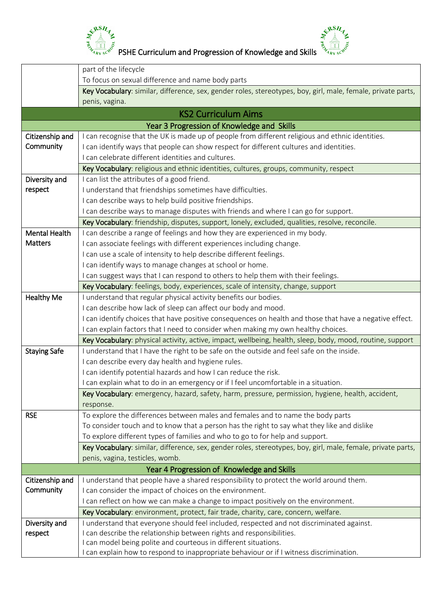

PSHE Curriculum and Progression of Knowledge and Skills

&RSH

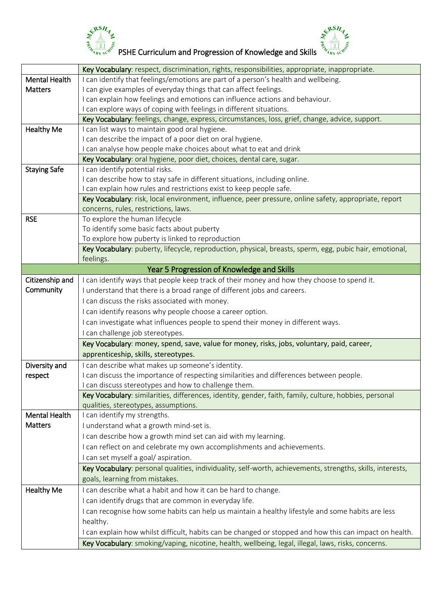



|                      | Key Vocabulary: respect, discrimination, rights, responsibilities, appropriate, inappropriate.                                                  |
|----------------------|-------------------------------------------------------------------------------------------------------------------------------------------------|
| <b>Mental Health</b> | I can identify that feelings/emotions are part of a person's health and wellbeing.                                                              |
| <b>Matters</b>       | I can give examples of everyday things that can affect feelings.                                                                                |
|                      | I can explain how feelings and emotions can influence actions and behaviour.                                                                    |
|                      | I can explore ways of coping with feelings in different situations.                                                                             |
|                      | Key Vocabulary: feelings, change, express, circumstances, loss, grief, change, advice, support.                                                 |
| <b>Healthy Me</b>    | I can list ways to maintain good oral hygiene.                                                                                                  |
|                      | I can describe the impact of a poor diet on oral hygiene.                                                                                       |
|                      | I can analyse how people make choices about what to eat and drink                                                                               |
|                      | Key Vocabulary: oral hygiene, poor diet, choices, dental care, sugar.                                                                           |
| <b>Staying Safe</b>  | I can identify potential risks.                                                                                                                 |
|                      | I can describe how to stay safe in different situations, including online.                                                                      |
|                      | I can explain how rules and restrictions exist to keep people safe.                                                                             |
|                      | Key Vocabulary: risk, local environment, influence, peer pressure, online safety, appropriate, report                                           |
|                      | concerns, rules, restrictions, laws.                                                                                                            |
| <b>RSE</b>           | To explore the human lifecycle                                                                                                                  |
|                      | To identify some basic facts about puberty                                                                                                      |
|                      | To explore how puberty is linked to reproduction                                                                                                |
|                      | Key Vocabulary: puberty, lifecycle, reproduction, physical, breasts, sperm, egg, pubic hair, emotional,                                         |
|                      | feelings.                                                                                                                                       |
|                      | Year 5 Progression of Knowledge and Skills                                                                                                      |
| Citizenship and      | I can identify ways that people keep track of their money and how they choose to spend it.                                                      |
| Community            | I understand that there is a broad range of different jobs and careers.                                                                         |
|                      | I can discuss the risks associated with money.                                                                                                  |
|                      | I can identify reasons why people choose a career option.                                                                                       |
|                      | I can investigate what influences people to spend their money in different ways.                                                                |
|                      | I can challenge job stereotypes.                                                                                                                |
|                      | Key Vocabulary: money, spend, save, value for money, risks, jobs, voluntary, paid, career,                                                      |
|                      | apprenticeship, skills, stereotypes.                                                                                                            |
|                      |                                                                                                                                                 |
| Diversity and        | I can describe what makes up someone's identity.                                                                                                |
| respect              | I can discuss the importance of respecting similarities and differences between people.<br>I can discuss stereotypes and how to challenge them. |
|                      |                                                                                                                                                 |
|                      | Key Vocabulary: similarities, differences, identity, gender, faith, family, culture, hobbies, personal<br>qualities, stereotypes, assumptions.  |
| <b>Mental Health</b> | I can identify my strengths.                                                                                                                    |
| <b>Matters</b>       | I understand what a growth mind-set is.                                                                                                         |
|                      |                                                                                                                                                 |
|                      | I can describe how a growth mind set can aid with my learning.                                                                                  |
|                      | I can reflect on and celebrate my own accomplishments and achievements.                                                                         |
|                      | I can set myself a goal/aspiration.                                                                                                             |
|                      | Key Vocabulary: personal qualities, individuality, self-worth, achievements, strengths, skills, interests,                                      |
|                      |                                                                                                                                                 |
| <b>Healthy Me</b>    | I can describe what a habit and how it can be hard to change.                                                                                   |
|                      | I can identify drugs that are common in everyday life.                                                                                          |
|                      | I can recognise how some habits can help us maintain a healthy lifestyle and some habits are less                                               |
|                      | healthy.                                                                                                                                        |
|                      | I can explain how whilst difficult, habits can be changed or stopped and how this can impact on health.                                         |
|                      | Key Vocabulary: smoking/vaping, nicotine, health, wellbeing, legal, illegal, laws, risks, concerns.                                             |
|                      | goals, learning from mistakes.                                                                                                                  |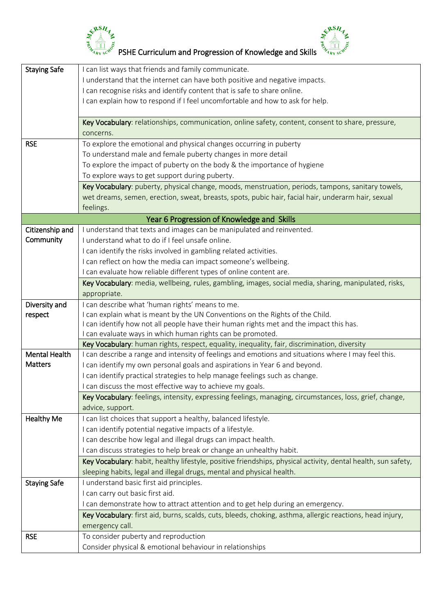



| <b>Staying Safe</b>  | I can list ways that friends and family communicate.                                                          |
|----------------------|---------------------------------------------------------------------------------------------------------------|
|                      | I understand that the internet can have both positive and negative impacts.                                   |
|                      | I can recognise risks and identify content that is safe to share online.                                      |
|                      | I can explain how to respond if I feel uncomfortable and how to ask for help.                                 |
|                      |                                                                                                               |
|                      | Key Vocabulary: relationships, communication, online safety, content, consent to share, pressure,             |
|                      | concerns.                                                                                                     |
| <b>RSE</b>           | To explore the emotional and physical changes occurring in puberty                                            |
|                      | To understand male and female puberty changes in more detail                                                  |
|                      | To explore the impact of puberty on the body & the importance of hygiene                                      |
|                      | To explore ways to get support during puberty.                                                                |
|                      | Key Vocabulary: puberty, physical change, moods, menstruation, periods, tampons, sanitary towels,             |
|                      | wet dreams, semen, erection, sweat, breasts, spots, pubic hair, facial hair, underarm hair, sexual            |
|                      | feelings.                                                                                                     |
|                      | Year 6 Progression of Knowledge and Skills                                                                    |
| Citizenship and      | I understand that texts and images can be manipulated and reinvented.                                         |
| Community            | I understand what to do if I feel unsafe online.                                                              |
|                      | I can identify the risks involved in gambling related activities.                                             |
|                      | I can reflect on how the media can impact someone's wellbeing.                                                |
|                      | I can evaluate how reliable different types of online content are.                                            |
|                      | Key Vocabulary: media, wellbeing, rules, gambling, images, social media, sharing, manipulated, risks,         |
|                      | appropriate.                                                                                                  |
| Diversity and        | I can describe what 'human rights' means to me.                                                               |
| respect              | I can explain what is meant by the UN Conventions on the Rights of the Child.                                 |
|                      | I can identify how not all people have their human rights met and the impact this has.                        |
|                      | I can evaluate ways in which human rights can be promoted.                                                    |
|                      | Key Vocabulary: human rights, respect, equality, inequality, fair, discrimination, diversity                  |
| <b>Mental Health</b> | I can describe a range and intensity of feelings and emotions and situations where I may feel this.           |
| <b>Matters</b>       | I can identify my own personal goals and aspirations in Year 6 and beyond.                                    |
|                      | I can identify practical strategies to help manage feelings such as change.                                   |
|                      | I can discuss the most effective way to achieve my goals.                                                     |
|                      | Key Vocabulary: feelings, intensity, expressing feelings, managing, circumstances, loss, grief, change,       |
|                      | advice, support.                                                                                              |
| <b>Healthy Me</b>    | I can list choices that support a healthy, balanced lifestyle.                                                |
|                      | I can identify potential negative impacts of a lifestyle.                                                     |
|                      | I can describe how legal and illegal drugs can impact health.                                                 |
|                      | I can discuss strategies to help break or change an unhealthy habit.                                          |
|                      | Key Vocabulary: habit, healthy lifestyle, positive friendships, physical activity, dental health, sun safety, |
|                      | sleeping habits, legal and illegal drugs, mental and physical health.                                         |
| <b>Staying Safe</b>  | I understand basic first aid principles.                                                                      |
|                      | I can carry out basic first aid.                                                                              |
|                      | I can demonstrate how to attract attention and to get help during an emergency.                               |
|                      | Key Vocabulary: first aid, burns, scalds, cuts, bleeds, choking, asthma, allergic reactions, head injury,     |
|                      | emergency call.                                                                                               |
| <b>RSE</b>           | To consider puberty and reproduction                                                                          |
|                      | Consider physical & emotional behaviour in relationships                                                      |